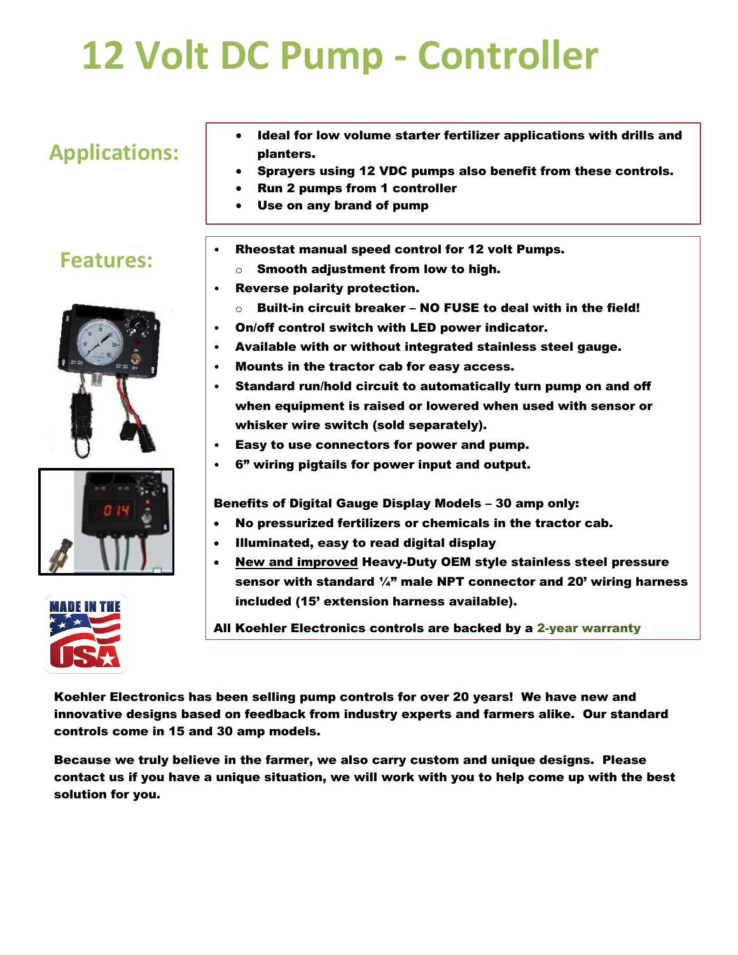# **12 Volt DC Pump - Controller**

# **Applications:**

- Ideal for low volume starter fertilizer applications with drills and planters.
- Sprayers using 12 VDC pumps also benefit from these controls.
- Run 2 pumps from 1 controller
- Use on any brand of pump

#### **Features:**







- Rheostat manual speed control for 12 volt Pumps.
	- $\circ$  Smooth adjustment from low to high.
- Reverse polarity protection.

•

- $\circ$  Built-in circuit breaker NO FUSE to deal with in the field!
- On/off control switch with LED power indicator.
- Available with or without integrated stainless steel gauge.
- Mounts in the tractor cab for easy access.
- Standard run/hold circuit to automatically turn pump on and off when equipment is raised or lowered when used with sensor or whisker wire switch (sold separately).
- Easy to use connectors for power and pump.
- 6" wiring pigtails for power input and output.

Benefits of Digital Gauge Display Models – 30 amp only:

- No pressurized fertilizers or chemicals in the tractor cab.
- Illuminated, easy to read digital display
- New and improved Heavy-Duty OEM style stainless steel pressure sensor with standard  $\frac{1}{4}$ " male NPT connector and 20' wiring harness included (15' extension harness available).

All Koehler Electronics controls are backed by a 2-year warranty

Koehler Electronics has been selling pump controls for over 20 years! We have new and innovative designs based on feedback from industry experts and farmers alike. Our standard controls come in 15 and 30 amp models.

Because we truly believe in the farmer, we also carry custom and unique designs. Please contact us if you have a unique situation, we will work with you to help come up with the best solution for you.